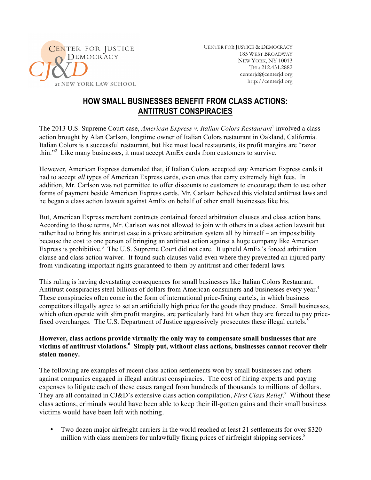

CENTER FOR JUSTICE & DEMOCRACY 185 WEST BROADWAY NEW YORK, NY 10013 TEL: 212.431.2882 centerjd@centerjd.org http://centerjd.org

## **HOW SMALL BUSINESSES BENEFIT FROM CLASS ACTIONS: ANTITRUST CONSPIRACIES**

The 2013 U.S. Supreme Court case, *American Express v. Italian Colors Restaurant*<sup>1</sup> involved a class action brought by Alan Carlson, longtime owner of Italian Colors restaurant in Oakland, California. Italian Colors is a successful restaurant, but like most local restaurants, its profit margins are "razor thin."<sup>2</sup> Like many businesses, it must accept AmEx cards from customers to survive.

However, American Express demanded that, if Italian Colors accepted *any* American Express cards it had to accept *all* types of American Express cards, even ones that carry extremely high fees. In addition, Mr. Carlson was not permitted to offer discounts to customers to encourage them to use other forms of payment beside American Express cards. Mr. Carlson believed this violated antitrust laws and he began a class action lawsuit against AmEx on behalf of other small businesses like his.

But, American Express merchant contracts contained forced arbitration clauses and class action bans. According to those terms, Mr. Carlson was not allowed to join with others in a class action lawsuit but rather had to bring his antitrust case in a private arbitration system all by himself – an impossibility because the cost to one person of bringing an antitrust action against a huge company like American Express is prohibitive.<sup>3</sup> The U.S. Supreme Court did not care. It upheld  $AmEx$ 's forced arbitration clause and class action waiver. It found such clauses valid even where they prevented an injured party from vindicating important rights guaranteed to them by antitrust and other federal laws.

This ruling is having devastating consequences for small businesses like Italian Colors Restaurant. Antitrust conspiracies steal billions of dollars from American consumers and businesses every year.<sup>4</sup> These conspiracies often come in the form of international price-fixing cartels, in which business competitors illegally agree to set an artificially high price for the goods they produce. Small businesses, which often operate with slim profit margins, are particularly hard hit when they are forced to pay pricefixed overcharges. The U.S. Department of Justice aggressively prosecutes these illegal cartels.<sup>5</sup>

## **However, class actions provide virtually the only way to compensate small businesses that are victims of antitrust violations.<sup>6</sup> Simply put, without class actions, businesses cannot recover their stolen money.**

The following are examples of recent class action settlements won by small businesses and others against companies engaged in illegal antitrust conspiracies. The cost of hiring experts and paying expenses to litigate each of these cases ranged from hundreds of thousands to millions of dollars. They are all contained in CJ&D's extensive class action compilation, *First Class Relief.<sup>7</sup>* Without these class actions, criminals would have been able to keep their ill-gotten gains and their small business victims would have been left with nothing.

• Two dozen major airfreight carriers in the world reached at least 21 settlements for over \$320 million with class members for unlawfully fixing prices of airfreight shipping services.<sup>8</sup>